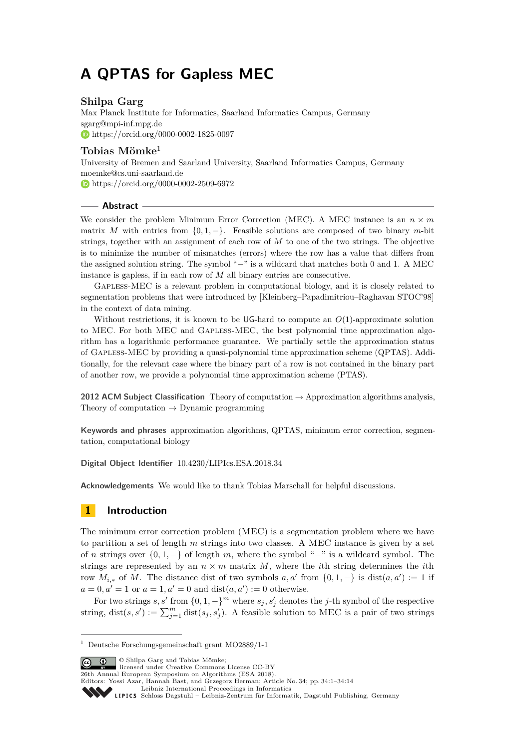# **A QPTAS for Gapless MEC**

# **Shilpa Garg**

Max Planck Institute for Informatics, Saarland Informatics Campus, Germany [sgarg@mpi-inf.mpg.de](mailto:sgarg@mpi-inf.mpg.de) <https://orcid.org/0000-0002-1825-0097>

## **Tobias Mömke**<sup>1</sup>

University of Bremen and Saarland University, Saarland Informatics Campus, Germany [moemke@cs.uni-saarland.de](mailto:moemke@cs.uni-saarland.de) <https://orcid.org/0000-0002-2509-6972>

## **Abstract**

We consider the problem Minimum Error Correction (MEC). A MEC instance is an  $n \times m$ matrix *M* with entries from  $\{0, 1, -\}$ . Feasible solutions are composed of two binary *m*-bit strings, together with an assignment of each row of *M* to one of the two strings. The objective is to minimize the number of mismatches (errors) where the row has a value that differs from the assigned solution string. The symbol "−" is a wildcard that matches both 0 and 1. A MEC instance is gapless, if in each row of *M* all binary entries are consecutive.

Gapless-MEC is a relevant problem in computational biology, and it is closely related to segmentation problems that were introduced by [Kleinberg–Papadimitriou–Raghavan STOC'98] in the context of data mining.

Without restrictions, it is known to be UG-hard to compute an *O*(1)-approximate solution to MEC. For both MEC and Gapless-MEC, the best polynomial time approximation algorithm has a logarithmic performance guarantee. We partially settle the approximation status of Gapless-MEC by providing a quasi-polynomial time approximation scheme (QPTAS). Additionally, for the relevant case where the binary part of a row is not contained in the binary part of another row, we provide a polynomial time approximation scheme (PTAS).

**2012 ACM Subject Classification** Theory of computation → Approximation algorithms analysis, Theory of computation  $\rightarrow$  Dynamic programming

**Keywords and phrases** approximation algorithms, QPTAS, minimum error correction, segmentation, computational biology

**Digital Object Identifier** [10.4230/LIPIcs.ESA.2018.34](http://dx.doi.org/10.4230/LIPIcs.ESA.2018.34)

**Acknowledgements** We would like to thank Tobias Marschall for helpful discussions.

# **1 Introduction**

The minimum error correction problem (MEC) is a segmentation problem where we have to partition a set of length *m* strings into two classes. A MEC instance is given by a set of *n* strings over {0*,* 1*,* −} of length *m*, where the symbol "−" is a wildcard symbol. The strings are represented by an  $n \times m$  matrix M, where the *i*th string determines the *i*th row  $M_{i,*}$  of  $M$ . The distance dist of two symbols  $a, a'$  from  $\{0, 1, -\}$  is  $dist(a, a') := 1$  if  $a = 0, a' = 1$  or  $a = 1, a' = 0$  and  $dist(a, a') := 0$  otherwise.

For two strings  $s, s'$  from  $\{0, 1, -\}$ <sup>m</sup> where  $s_j, s'_j$  denotes the *j*-th symbol of the respective string, dist $(s, s') := \sum_{j=1}^{m} dist(s_j, s'_j)$ . A feasible solution to MEC is a pair of two strings

© Shilpa Garg and Tobias Mömke; licensed under Creative Commons License CC-BY

26th Annual European Symposium on Algorithms (ESA 2018).

<sup>1</sup> Deutsche Forschungsgemeinschaft grant MO2889/1-1

Editors: Yossi Azar, Hannah Bast, and Grzegorz Herman; Article No. 34; pp. 34:1–34[:14](#page-13-0) [Leibniz International Proceedings in Informatics](http://www.dagstuhl.de/lipics/)

Leibniz International Froceedings in Informatik, Dagstuhl Publishing, Germany<br>LIPICS [Schloss Dagstuhl – Leibniz-Zentrum für Informatik, Dagstuhl Publishing, Germany](http://www.dagstuhl.de)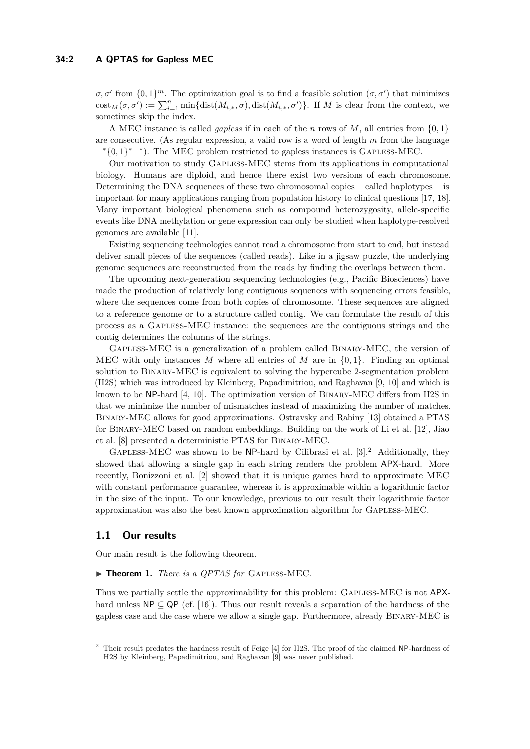## **34:2 A QPTAS for Gapless MEC**

 $\sigma, \sigma'$  from  $\{0,1\}^m$ . The optimization goal is to find a feasible solution  $(\sigma, \sigma')$  that minimizes  $\text{cost}_M(\sigma, \sigma') := \sum_{i=1}^n \min\{\text{dist}(M_{i,*}, \sigma), \text{dist}(M_{i,*}, \sigma')\}.$  If *M* is clear from the context, we sometimes skip the index.

A MEC instance is called *gapless* if in each of the *n* rows of *M*, all entries from {0*,* 1} are consecutive. (As regular expression, a valid row is a word of length *m* from the language −<sup>∗</sup>{0*,* 1} <sup>∗</sup>−<sup>∗</sup> ). The MEC problem restricted to gapless instances is Gapless-MEC.

Our motivation to study Gapless-MEC stems from its applications in computational biology. Humans are diploid, and hence there exist two versions of each chromosome. Determining the DNA sequences of these two chromosomal copies – called haplotypes – is important for many applications ranging from population history to clinical questions [\[17,](#page-13-1) [18\]](#page-13-2). Many important biological phenomena such as compound heterozygosity, allele-specific events like DNA methylation or gene expression can only be studied when haplotype-resolved genomes are available [\[11\]](#page-12-0).

Existing sequencing technologies cannot read a chromosome from start to end, but instead deliver small pieces of the sequences (called reads). Like in a jigsaw puzzle, the underlying genome sequences are reconstructed from the reads by finding the overlaps between them.

The upcoming next-generation sequencing technologies (e.g., Pacific Biosciences) have made the production of relatively long contiguous sequences with sequencing errors feasible, where the sequences come from both copies of chromosome. These sequences are aligned to a reference genome or to a structure called contig. We can formulate the result of this process as a Gapless-MEC instance: the sequences are the contiguous strings and the contig determines the columns of the strings.

Gapless-MEC is a generalization of a problem called Binary-MEC, the version of MEC with only instances M where all entries of M are in  $\{0,1\}$ . Finding an optimal solution to Binary-MEC is equivalent to solving the hypercube 2-segmentation problem (H2S) which was introduced by Kleinberg, Papadimitriou, and Raghavan [\[9,](#page-12-1) [10\]](#page-12-2) and which is known to be NP-hard [\[4,](#page-12-3) [10\]](#page-12-2). The optimization version of Binary-MEC differs from H2S in that we minimize the number of mismatches instead of maximizing the number of matches. Binary-MEC allows for good approximations. Ostravsky and Rabiny [\[13\]](#page-12-4) obtained a PTAS for Binary-MEC based on random embeddings. Building on the work of Li et al. [\[12\]](#page-12-5), Jiao et al. [\[8\]](#page-12-6) presented a deterministic PTAS for Binary-MEC.

GAPLESS-MEC was shown to be NP-hard by Cilibrasi et al. [\[3\]](#page-12-7).<sup>[2](#page-1-0)</sup> Additionally, they showed that allowing a single gap in each string renders the problem APX-hard. More recently, Bonizzoni et al. [\[2\]](#page-12-8) showed that it is unique games hard to approximate MEC with constant performance guarantee, whereas it is approximable within a logarithmic factor in the size of the input. To our knowledge, previous to our result their logarithmic factor approximation was also the best known approximation algorithm for Gapless-MEC.

## **1.1 Our results**

Our main result is the following theorem.

#### <span id="page-1-1"></span>▶ **Theorem 1.** *There is a QPTAS for* GAPLESS-MEC.

Thus we partially settle the approximability for this problem: GAPLESS-MEC is not APXhard unless  $\text{NP} \subseteq \text{QP}$  (cf. [\[16\]](#page-12-9)). Thus our result reveals a separation of the hardness of the gapless case and the case where we allow a single gap. Furthermore, already Binary-MEC is

<span id="page-1-0"></span><sup>2</sup> Their result predates the hardness result of Feige [\[4\]](#page-12-3) for H2S. The proof of the claimed NP-hardness of H2S by Kleinberg, Papadimitriou, and Raghavan [\[9\]](#page-12-1) was never published.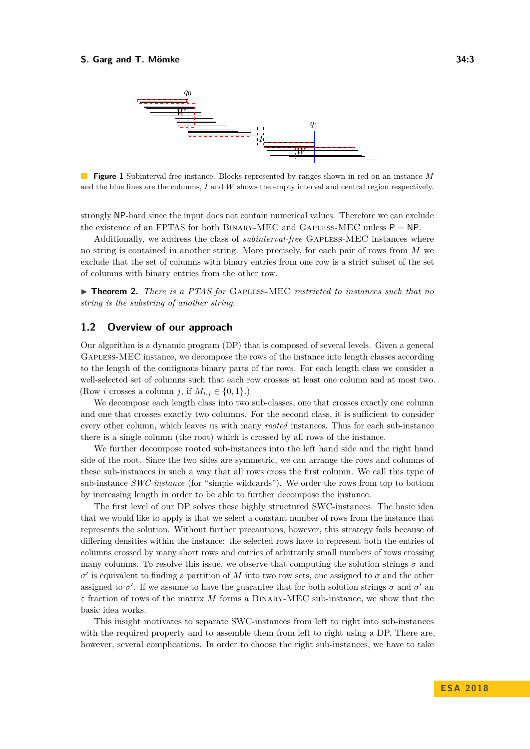<span id="page-2-0"></span>

**Figure 1** Subinterval-free instance. Blocks represented by ranges shown in red on an instance *M* and the blue lines are the columns, *I* and *W* shows the empty interval and central region respectively.

strongly NP-hard since the input does not contain numerical values. Therefore we can exclude the existence of an FPTAS for both BINARY-MEC and GAPLESS-MEC unless  $P = NP$ .

Additionally, we address the class of *subinterval-free* Gapless-MEC instances where no string is contained in another string. More precisely, for each pair of rows from *M* we exclude that the set of columns with binary entries from one row is a strict subset of the set of columns with binary entries from the other row.

<span id="page-2-1"></span>▶ **Theorem 2.** *There is a PTAS for* GAPLESS-MEC *restricted to instances such that no string is the substring of another string.*

## **1.2 Overview of our approach**

Our algorithm is a dynamic program (DP) that is composed of several levels. Given a general Gapless-MEC instance, we decompose the rows of the instance into length classes according to the length of the contiguous binary parts of the rows. For each length class we consider a well-selected set of columns such that each row crosses at least one column and at most two. (Row *i* crosses a column *j*, if  $M_{i,j} \in \{0,1\}$ .)

We decompose each length class into two sub-classes, one that crosses exactly one column and one that crosses exactly two columns. For the second class, it is sufficient to consider every other column, which leaves us with many *rooted* instances. Thus for each sub-instance there is a single column (the root) which is crossed by all rows of the instance.

We further decompose rooted sub-instances into the left hand side and the right hand side of the root. Since the two sides are symmetric, we can arrange the rows and columns of these sub-instances in such a way that all rows cross the first column. We call this type of sub-instance *SWC-instance* (for "simple wildcards"). We order the rows from top to bottom by increasing length in order to be able to further decompose the instance.

The first level of our DP solves these highly structured SWC-instances. The basic idea that we would like to apply is that we select a constant number of rows from the instance that represents the solution. Without further precautions, however, this strategy fails because of differing densities within the instance: the selected rows have to represent both the entries of columns crossed by many short rows and entries of arbitrarily small numbers of rows crossing many columns. To resolve this issue, we observe that computing the solution strings  $\sigma$  and  $σ'$  is equivalent to finding a partition of *M* into two row sets, one assigned to  $σ$  and the other assigned to  $\sigma'$ . If we assume to have the guarantee that for both solution strings  $\sigma$  and  $\sigma'$  and *ε* fraction of rows of the matrix *M* forms a Binary-MEC sub-instance, we show that the basic idea works.

This insight motivates to separate SWC-instances from left to right into sub-instances with the required property and to assemble them from left to right using a DP. There are, however, several complications. In order to choose the right sub-instances, we have to take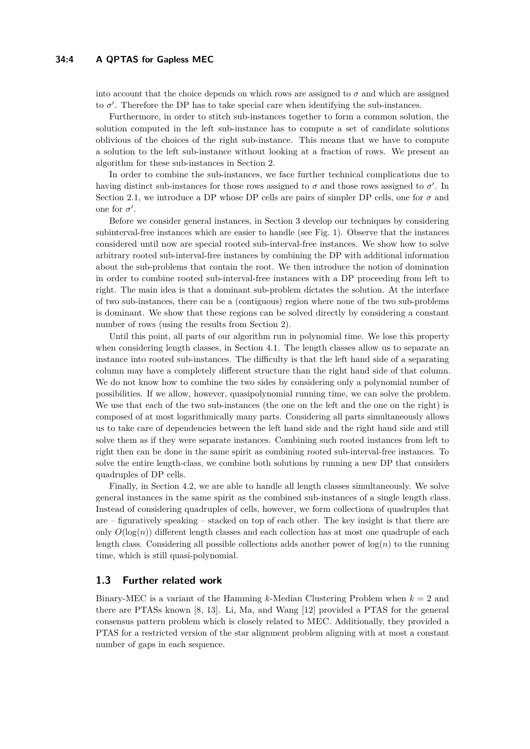## **34:4 A QPTAS for Gapless MEC**

into account that the choice depends on which rows are assigned to  $\sigma$  and which are assigned to  $\sigma'$ . Therefore the DP has to take special care when identifying the sub-instances.

Furthermore, in order to stitch sub-instances together to form a common solution, the solution computed in the left sub-instance has to compute a set of candidate solutions oblivious of the choices of the right sub-instance. This means that we have to compute a solution to the left sub-instance without looking at a fraction of rows. We present an algorithm for these sub-instances in Section [2.](#page-4-0)

In order to combine the sub-instances, we face further technical complications due to having distinct sub-instances for those rows assigned to  $\sigma$  and those rows assigned to  $\sigma'$ . In Section [2.1,](#page-7-0) we introduce a DP whose DP cells are pairs of simpler DP cells, one for  $\sigma$  and one for  $\sigma'$ .

Before we consider general instances, in Section [3](#page-9-0) develop our techniques by considering subinterval-free instances which are easier to handle (see Fig. [1\)](#page-2-0). Observe that the instances considered until now are special rooted sub-interval-free instances. We show how to solve arbitrary rooted sub-interval-free instances by combining the DP with additional information about the sub-problems that contain the root. We then introduce the notion of domination in order to combine rooted sub-interval-free instances with a DP proceeding from left to right. The main idea is that a dominant sub-problem dictates the solution. At the interface of two sub-instances, there can be a (contiguous) region where none of the two sub-problems is dominant. We show that these regions can be solved directly by considering a constant number of rows (using the results from Section [2\)](#page-4-0).

Until this point, all parts of our algorithm run in polynomial time. We lose this property when considering length classes, in Section [4.1.](#page-10-0) The length classes allow us to separate an instance into rooted sub-instances. The difficulty is that the left hand side of a separating column may have a completely different structure than the right hand side of that column. We do not know how to combine the two sides by considering only a polynomial number of possibilities. If we allow, however, quasipolynomial running time, we can solve the problem. We use that each of the two sub-instances (the one on the left and the one on the right) is composed of at most logarithmically many parts. Considering all parts simultaneously allows us to take care of dependencies between the left hand side and the right hand side and still solve them as if they were separate instances. Combining such rooted instances from left to right then can be done in the same spirit as combining rooted sub-interval-free instances. To solve the entire length-class, we combine both solutions by running a new DP that considers quadruples of DP cells.

Finally, in Section [4.2,](#page-11-0) we are able to handle all length classes simultaneously. We solve general instances in the same spirit as the combined sub-instances of a single length class. Instead of considering quadruples of cells, however, we form collections of quadruples that are – figuratively speaking – stacked on top of each other. The key insight is that there are only  $O(\log(n))$  different length classes and each collection has at most one quadruple of each length class. Considering all possible collections adds another power of  $log(n)$  to the running time, which is still quasi-polynomial.

## **1.3 Further related work**

Binary-MEC is a variant of the Hamming *k*-Median Clustering Problem when *k* = 2 and there are PTASs known [\[8,](#page-12-6) [13\]](#page-12-4). Li, Ma, and Wang [\[12\]](#page-12-5) provided a PTAS for the general consensus pattern problem which is closely related to MEC. Additionally, they provided a PTAS for a restricted version of the star alignment problem aligning with at most a constant number of gaps in each sequence.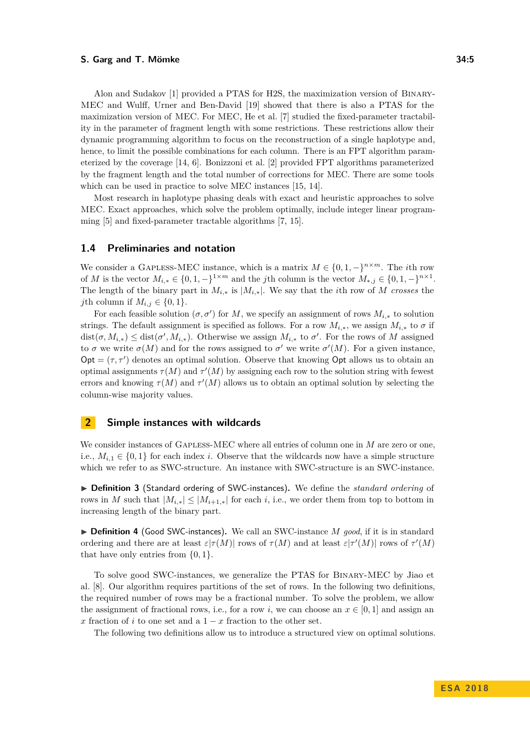Alon and Sudakov [\[1\]](#page-12-10) provided a PTAS for H2S, the maximization version of Binary-MEC and Wulff, Urner and Ben-David [\[19\]](#page-13-3) showed that there is also a PTAS for the maximization version of MEC. For MEC, He et al. [\[7\]](#page-12-11) studied the fixed-parameter tractability in the parameter of fragment length with some restrictions. These restrictions allow their dynamic programming algorithm to focus on the reconstruction of a single haplotype and, hence, to limit the possible combinations for each column. There is an FPT algorithm parameterized by the coverage [\[14,](#page-12-12) [6\]](#page-12-13). Bonizzoni et al. [\[2\]](#page-12-8) provided FPT algorithms parameterized by the fragment length and the total number of corrections for MEC. There are some tools which can be used in practice to solve MEC instances [\[15,](#page-12-14) [14\]](#page-12-12).

Most research in haplotype phasing deals with exact and heuristic approaches to solve MEC. Exact approaches, which solve the problem optimally, include integer linear programming [\[5\]](#page-12-15) and fixed-parameter tractable algorithms [\[7,](#page-12-11) [15\]](#page-12-14).

## **1.4 Preliminaries and notation**

We consider a GAPLESS-MEC instance, which is a matrix  $M \in \{0, 1, -\}^{n \times m}$ . The *i*th row of *M* is the vector  $M_{i,*} \in \{0,1,-\}^{1 \times m}$  and the *j*th column is the vector  $M_{*,j} \in \{0,1,-\}^{n \times 1}$ . The length of the binary part in  $M_{i,*}$  is  $|M_{i,*}|$ . We say that the *i*th row of *M* crosses the *j*th column if  $M_{i,j} \in \{0,1\}$ .

For each feasible solution  $(\sigma, \sigma')$  for *M*, we specify an assignment of rows  $M_{i,*}$  to solution strings. The default assignment is specified as follows. For a row  $M_{i,*}$ , we assign  $M_{i,*}$  to  $\sigma$  if  $dist(\sigma, M_{i,*}) \leq dist(\sigma', M_{i,*})$ . Otherwise we assign  $M_{i,*}$  to  $\sigma'$ . For the rows of M assigned to  $\sigma$  we write  $\sigma(M)$  and for the rows assigned to  $\sigma'$  we write  $\sigma'(M)$ . For a given instance,  $\text{Opt} = (\tau, \tau')$  denotes an optimal solution. Observe that knowing Opt allows us to obtain an optimal assignments  $\tau(M)$  and  $\tau'(M)$  by assigning each row to the solution string with fewest errors and knowing  $\tau(M)$  and  $\tau'(M)$  allows us to obtain an optimal solution by selecting the column-wise majority values.

# <span id="page-4-0"></span>**2 Simple instances with wildcards**

We consider instances of GAPLESS-MEC where all entries of column one in *M* are zero or one, i.e.,  $M_{i,1} \in \{0,1\}$  for each index *i*. Observe that the wildcards now have a simple structure which we refer to as SWC-structure. An instance with SWC-structure is an SWC-instance.

▶ Definition 3 (Standard ordering of SWC-instances). We define the *standard ordering* of rows in *M* such that  $|M_{i,*}| \leq |M_{i+1,*}|$  for each *i*, i.e., we order them from top to bottom in increasing length of the binary part.

▶ **Definition 4** (Good SWC-instances). We call an SWC-instance *M good*, if it is in standard ordering and there are at least  $\varepsilon$  |*τ*(*M*)| rows of *τ*(*M*) and at least  $\varepsilon$ |*τ*'(*M*)| rows of *τ*'(*M*) that have only entries from {0*,* 1}.

To solve good SWC-instances, we generalize the PTAS for Binary-MEC by Jiao et al. [\[8\]](#page-12-6). Our algorithm requires partitions of the set of rows. In the following two definitions, the required number of rows may be a fractional number. To solve the problem, we allow the assignment of fractional rows, i.e., for a row *i*, we can choose an  $x \in [0,1]$  and assign an *x* fraction of *i* to one set and a  $1 - x$  fraction to the other set.

The following two definitions allow us to introduce a structured view on optimal solutions.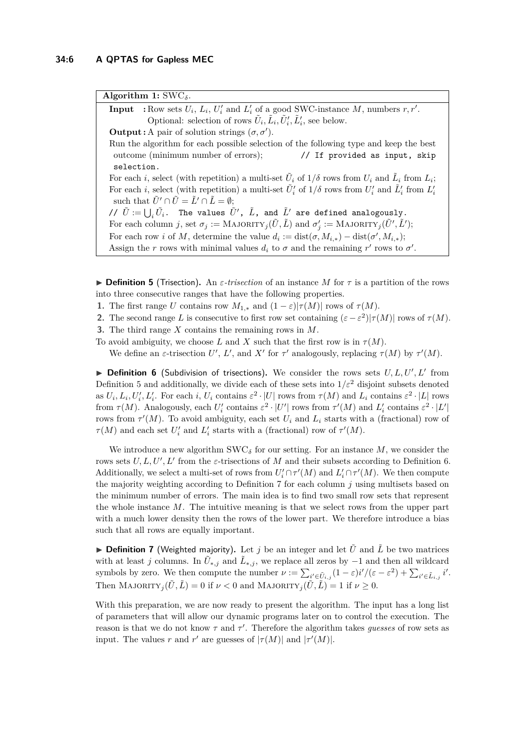**Algorithm 1:** SWC*δ*.

<span id="page-5-3"></span>**Input** : Row sets  $U_i$ ,  $L_i$ ,  $U'_i$  and  $L'_i$  of a good SWC-instance *M*, numbers  $r, r'$ . Optional: selection of rows  $\tilde{U}_i$ ,  $\tilde{L}_i$ ,  $\tilde{U}'_i$ ,  $\tilde{L}'_i$ , see below. **Output :** A pair of solution strings  $(\sigma, \sigma')$ . Run the algorithm for each possible selection of the following type and keep the best outcome (minimum number of errors); // If provided as input, skip selection. For each *i*, select (with repetition) a multi-set  $\tilde{U}_i$  of  $1/\delta$  rows from  $U_i$  and  $\tilde{L}_i$  from  $L_i$ ; For each *i*, select (with repetition) a multi-set  $\tilde{U}'_i$  of  $1/\delta$  rows from  $U'_i$  and  $\tilde{L}'_i$  from  $L'_i$ such that  $\tilde{U}' \cap \tilde{U} = \tilde{L}' \cap \tilde{L} = \emptyset$ ;  $\check{U}$   $\check{U} := \bigcup_i \tilde{U}_i$ . The values  $\tilde{U}'$ ,  $\tilde{L}$ , and  $\tilde{L}'$  are defined analogously. For each column *j*, set  $\sigma_j := \text{MAJORITY}_j(\tilde{U}, \tilde{L})$  and  $\sigma'_j := \text{MAJORITY}_j(\tilde{U}', \tilde{L}')$ ; For each row *i* of *M*, determine the value  $d_i := dist(\sigma, M_{i,*}) - dist(\sigma', M_{i,*});$ Assign the *r* rows with minimal values  $d_i$  to  $\sigma$  and the remaining *r'* rows to  $\sigma'$ .

**Definition 5** (Trisection). An *ε-trisection* of an instance *M* for  $\tau$  is a partition of the rows into three consecutive ranges that have the following properties.

- **1.** The first range *U* contains row  $M_{1,*}$  and  $(1 \varepsilon)|\tau(M)|$  rows of  $\tau(M)$ .
- **2.** The second range *L* is consecutive to first row set containing  $(\varepsilon \varepsilon^2)|\tau(M)|$  rows of  $\tau(M)$ .
- <span id="page-5-0"></span>**3.** The third range *X* contains the remaining rows in *M*.
- To avoid ambiguity, we choose *L* and *X* such that the first row is in  $\tau(M)$ .

We define an *ε*-trisection  $U'$ ,  $L'$ , and  $X'$  for  $\tau'$  analogously, replacing  $\tau(M)$  by  $\tau'(M)$ .

<span id="page-5-1"></span>**Definition 6** (Subdivision of trisections). We consider the rows sets  $U, L, U', L'$  from Definition [5](#page-5-0) and additionally, we divide each of these sets into  $1/\varepsilon^2$  disjoint subsets denoted as  $U_i, L_i, U'_i, L'_i$ . For each i,  $U_i$  contains  $\varepsilon^2 \cdot |U|$  rows from  $\tau(M)$  and  $L_i$  contains  $\varepsilon^2 \cdot |L|$  rows from  $\tau(M)$ . Analogously, each  $U_i'$  contains  $\varepsilon^2 \cdot |U'|$  rows from  $\tau'(M)$  and  $L_i'$  contains  $\varepsilon^2 \cdot |L'|$ rows from  $\tau'(M)$ . To avoid ambiguity, each set  $U_i$  and  $L_i$  starts with a (fractional) row of *τ*(*M*) and each set  $U'_i$  and  $L'_i$  starts with a (fractional) row of  $\tau'(M)$ .

We introduce a new algorithm  $\text{SWC}_\delta$  for our setting. For an instance M, we consider the rows sets  $U, L, U', L'$  from the *ε*-trisections of *M* and their subsets according to Definition [6.](#page-5-1) Additionally, we select a multi-set of rows from  $U_i' \cap \tau'(M)$  and  $L_i' \cap \tau'(M)$ . We then compute the majority weighting according to Definition [7](#page-5-2) for each column  $j$  using multisets based on the minimum number of errors. The main idea is to find two small row sets that represent the whole instance *M*. The intuitive meaning is that we select rows from the upper part with a much lower density then the rows of the lower part. We therefore introduce a bias such that all rows are equally important.

<span id="page-5-2"></span> $\triangleright$  **Definition 7** (Weighted majority). Let *j* be an integer and let  $\tilde{U}$  and  $\tilde{L}$  be two matrices with at least *j* columns. In  $\tilde{U}_{*,j}$  and  $\tilde{L}_{*,j}$ , we replace all zeros by  $-1$  and then all wildcard symbols by zero. We then compute the number  $\nu := \sum_{i' \in \tilde{U}_{i,j}} (1 - \varepsilon) i'/(\varepsilon - \varepsilon^2) + \sum_{i' \in \tilde{L}_{i,j}} i'.$ Then  $MAJORITY_j(\tilde{U}, \tilde{L}) = 0$  if  $\nu < 0$  and  $MAJORITY_j(\tilde{U}, \tilde{L}) = 1$  if  $\nu \geq 0$ .

With this preparation, we are now ready to present the algorithm. The input has a long list of parameters that will allow our dynamic programs later on to control the execution. The reason is that we do not know  $\tau$  and  $\tau'$ . Therefore the algorithm takes *guesses* of row sets as input. The values *r* and *r'* are guesses of  $|\tau(M)|$  and  $|\tau'(M)|$ .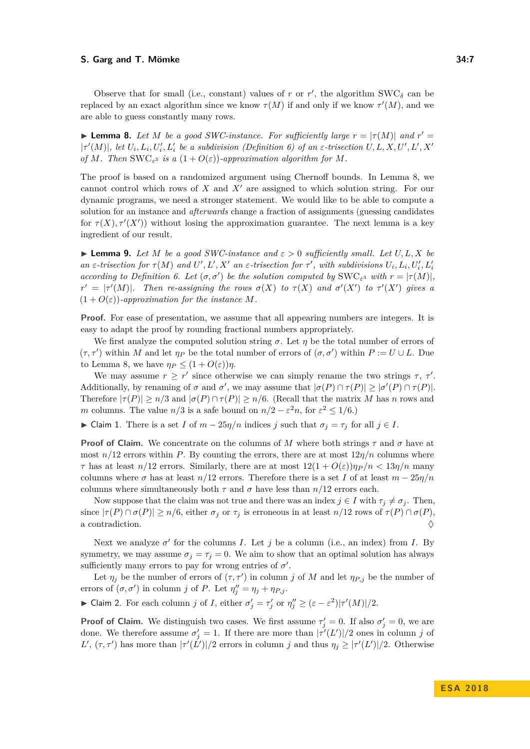Observe that for small (i.e., constant) values of  $r$  or  $r'$ , the algorithm  $\text{SWC}_\delta$  can be replaced by an exact algorithm since we know  $\tau(M)$  if and only if we know  $\tau'(M)$ , and we are able to guess constantly many rows.

<span id="page-6-0"></span>**Example 8.** Let *M* be a good SWC-instance. For sufficiently large  $r = |\tau(M)|$  and  $r' =$  $|\tau'(M)|$ , let  $U_i, L_i, U'_i, L'_i$  be a subdivision (Definition [6\)](#page-5-1) of an  $\varepsilon$ -trisection  $U, L, X, U', L', X'$ *of M.* Then SWC<sub> $\varepsilon$ </sub><sup>3</sup> *is a*  $(1 + O(\varepsilon))$ *-approximation algorithm for M.* 

The proof is based on a randomized argument using Chernoff bounds. In Lemma [8,](#page-6-0) we cannot control which rows of *X* and *X'* are assigned to which solution string. For our dynamic programs, we need a stronger statement. We would like to be able to compute a solution for an instance and *afterwards* change a fraction of assignments (guessing candidates for  $\tau(X)$ ,  $\tau'(X')$ ) without losing the approximation guarantee. The next lemma is a key ingredient of our result.

<span id="page-6-3"></span>**Example 9.** Let *M* be a good SWC-instance and  $\varepsilon > 0$  sufficiently small. Let  $U, L, X$  be an  $\varepsilon$ -trisection for  $\tau(M)$  and  $U', L', X'$  an  $\varepsilon$ -trisection for  $\tau'$ , with subdivisions  $U_i, L_i, U'_i, L'_i$ *according to Definition [6.](#page-5-1) Let*  $(\sigma, \sigma')$  *be the solution computed by* SWC<sub> $\varepsilon$ </sub><sup>3</sup> *with*  $r = |\tau(M)|$ *,*  $r' = |\tau'(M)|$ *. Then re-assigning the rows*  $\sigma(X)$  *to*  $\tau(X)$  *and*  $\sigma'(X')$  *to*  $\tau'(X')$  *gives* a  $(1 + O(\varepsilon))$ -approximation for the instance M.

**Proof.** For ease of presentation, we assume that all appearing numbers are integers. It is easy to adapt the proof by rounding fractional numbers appropriately.

We first analyze the computed solution string  $\sigma$ . Let  $\eta$  be the total number of errors of  $(\tau, \tau')$  within *M* and let  $\eta_P$  be the total number of errors of  $(\sigma, \sigma')$  within  $P := U \cup L$ . Due to Lemma [8,](#page-6-0) we have  $\eta_P \leq (1 + O(\varepsilon))\eta$ .

We may assume  $r \geq r'$  since otherwise we can simply rename the two strings  $\tau$ ,  $\tau'$ . Additionally, by renaming of  $\sigma$  and  $\sigma'$ , we may assume that  $|\sigma(P) \cap \tau(P)| \geq |\sigma'(P) \cap \tau(P)|$ . Therefore  $|\tau(P)| > n/3$  and  $|\sigma(P) \cap \tau(P)| > n/6$ . (Recall that the matrix *M* has *n* rows and *m* columns. The value  $n/3$  is a safe bound on  $n/2 - \varepsilon^2 n$ , for  $\varepsilon^2 \leq 1/6$ .)

<span id="page-6-2"></span> $\blacktriangleright$  **Claim 1.** There is a set *I* of *m* − 25*η/n* indices *j* such that  $\sigma_j = \tau_j$  for all  $j \in I$ .

**Proof of Claim.** We concentrate on the columns of *M* where both strings  $\tau$  and  $\sigma$  have at most  $n/12$  errors within *P*. By counting the errors, there are at most  $12\eta/n$  columns where *τ* has at least *n*/12 errors. Similarly, there are at most  $12(1 + O(\varepsilon))\eta_P/n < 13\eta/n$  many columns where  $\sigma$  has at least  $n/12$  errors. Therefore there is a set *I* of at least  $m - 25\eta/n$ columns where simultaneously both  $\tau$  and  $\sigma$  have less than  $n/12$  errors each.

Now suppose that the claim was not true and there was an index  $j \in I$  with  $\tau_j \neq \sigma_j$ . Then, since  $|\tau(P) \cap \sigma(P)| \ge n/6$ , either  $\sigma_j$  or  $\tau_j$  is erroneous in at least  $n/12$  rows of  $\tau(P) \cap \sigma(P)$ , a contradiction.  $\Diamond$ 

Next we analyze  $\sigma'$  for the columns *I*. Let *j* be a column (i.e., an index) from *I*. By symmetry, we may assume  $\sigma_j = \tau_j = 0$ . We aim to show that an optimal solution has always sufficiently many errors to pay for wrong entries of  $\sigma'$ .

Let  $\eta_j$  be the number of errors of  $(\tau, \tau')$  in column *j* of *M* and let  $\eta_{P,j}$  be the number of errors of  $(\sigma, \sigma')$  in column *j* of *P*. Let  $\eta''_j = \eta_j + \eta_{P,j}$ .

<span id="page-6-1"></span>► Claim 2. For each column *j* of *I*, either  $\sigma'_j = \tau'_j$  or  $\eta''_j \geq (\varepsilon - \varepsilon^2)|\tau'(M)|/2$ .

**Proof of Claim.** We distinguish two cases. We first assume  $\tau'_j = 0$ . If also  $\sigma'_j = 0$ , we are done. We therefore assume  $\sigma'_{j} = 1$ . If there are more than  $|\tau'(L')|/2$  ones in column *j* of *L*<sup>'</sup>,  $(\tau, \tau')$  has more than  $|\tau'(L')|/2$  errors in column *j* and thus  $\eta_j \geq |\tau'(L')|/2$ . Otherwise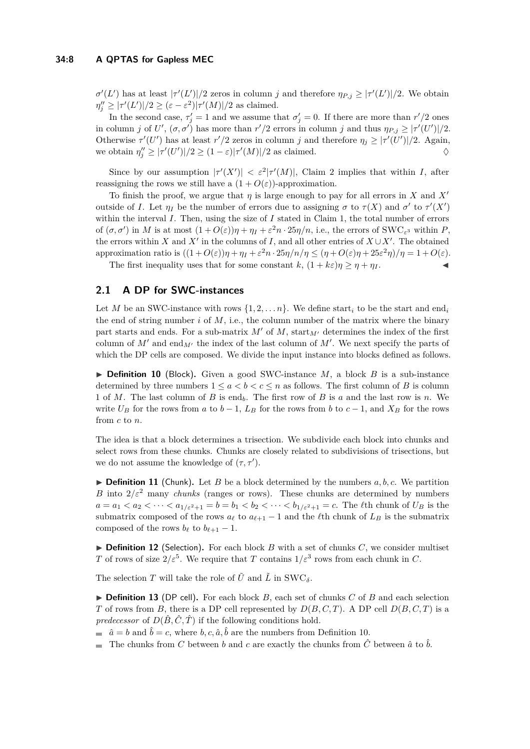$\sigma'(L')$  has at least  $|\tau'(L')|/2$  zeros in column *j* and therefore  $\eta_{P,j} \geq |\tau'(L')|/2$ . We obtain  $\eta''_j \geq |\tau'(L')|/2 \geq (\varepsilon - \varepsilon^2)|\tau'(M)|/2$  as claimed.

In the second case,  $\tau'_j = 1$  and we assume that  $\sigma'_j = 0$ . If there are more than  $r'/2$  ones in column *j* of *U'*,  $(\sigma, \sigma')$  has more than  $r'/2$  errors in column *j* and thus  $\eta_{P,j} \geq |\tau'(U')|/2$ . Otherwise  $\tau'(U')$  has at least  $r'/2$  zeros in column *j* and therefore  $\eta_j \geq |\tau'(U')|/2$ . Again, we obtain  $\eta''_j \geq |\tau'(U')|/2 \geq (1-\varepsilon)|\tau'(M)|/2$  as claimed.  $\diamondsuit$ 

Since by our assumption  $|\tau'(X')| < \varepsilon^2 |\tau'(M)|$ , Claim [2](#page-6-1) implies that within *I*, after reassigning the rows we still have a  $(1 + O(\varepsilon))$ -approximation.

To finish the proof, we argue that  $\eta$  is large enough to pay for all errors in *X* and *X'* outside of *I*. Let  $\eta_I$  be the number of errors due to assigning  $\sigma$  to  $\tau(X)$  and  $\sigma'$  to  $\tau'(X')$ within the interval *I*. Then, using the size of *I* stated in Claim [1,](#page-6-2) the total number of errors of  $(\sigma, \sigma')$  in *M* is at most  $(1 + O(\varepsilon))\eta + \eta_I + \varepsilon^2 n \cdot 25\eta/n$ , i.e., the errors of SWC<sub> $\varepsilon^3$ </sub> within *P*, the errors within *X* and *X'* in the columns of *I*, and all other entries of  $X \cup X'$ . The obtained approximation ratio is  $((1+O(\varepsilon))\eta + \eta_I + \varepsilon^2 n \cdot 25\eta/n/\eta \leq (\eta + O(\varepsilon)\eta + 25\varepsilon^2 \eta)/\eta = 1 + O(\varepsilon).$ 

The first inequality uses that for some constant  $k$ ,  $(1 + k\varepsilon)\eta \geq \eta + \eta_I$ .

# <span id="page-7-0"></span>**2.1 A DP for SWC-instances**

Let *M* be an SWC-instance with rows  $\{1, 2, \ldots n\}$ . We define start<sub>*i*</sub> to be the start and end<sub>*i*</sub> the end of string number  $i$  of  $M$ , i.e., the column number of the matrix where the binary part starts and ends. For a sub-matrix  $M'$  of  $M$ , start<sub> $M'$ </sub> determines the index of the first column of  $M'$  and end<sub> $M'$ </sub> the index of the last column of  $M'$ . We next specify the parts of which the DP cells are composed. We divide the input instance into blocks defined as follows.

<span id="page-7-1"></span> $\triangleright$  **Definition 10** (Block). Given a good SWC-instance *M*, a block *B* is a sub-instance determined by three numbers  $1 \leq a < b < c \leq n$  as follows. The first column of *B* is column 1 of *M*. The last column of *B* is end*b*. The first row of *B* is *a* and the last row is *n*. We write  $U_B$  for the rows from *a* to *b* − 1,  $L_B$  for the rows from *b* to *c* − 1, and  $X_B$  for the rows from *c* to *n*.

The idea is that a block determines a trisection. We subdivide each block into chunks and select rows from these chunks. Chunks are closely related to subdivisions of trisections, but we do not assume the knowledge of  $(\tau, \tau')$ .

<span id="page-7-2"></span> $\triangleright$  **Definition 11** (Chunk). Let *B* be a block determined by the numbers *a, b, c.* We partition *B* into  $2/\varepsilon^2$  many *chunks* (ranges or rows). These chunks are determined by numbers  $a = a_1 < a_2 < \cdots < a_{1/\varepsilon^2+1} = b = b_1 < b_2 < \cdots < b_{1/\varepsilon^2+1} = c$ . The *l*th chunk of  $U_B$  is the submatrix composed of the rows  $a_\ell$  to  $a_{\ell+1} - 1$  and the  $\ell$ th chunk of  $L_B$  is the submatrix composed of the rows  $b_{\ell}$  to  $b_{\ell+1} - 1$ .

<span id="page-7-3"></span> $\triangleright$  **Definition 12** (Selection). For each block *B* with a set of chunks *C*, we consider multiset *T* of rows of size  $2/\varepsilon^5$ . We require that *T* contains  $1/\varepsilon^3$  rows from each chunk in *C*.

The selection *T* will take the role of  $\tilde{U}$  and  $\tilde{L}$  in SWC<sub> $\delta$ </sub>.

<span id="page-7-4"></span> $\triangleright$  **Definition 13** (DP cell). For each block *B*, each set of chunks *C* of *B* and each selection *T* of rows from *B*, there is a DP cell represented by  $D(B, C, T)$ . A DP cell  $D(B, C, T)$  is a *predecessor* of  $D(\hat{B}, \hat{C}, \hat{T})$  if the following conditions hold.

 $\hat{a} = b$  and  $\hat{b} = c$ , where  $b, c, \hat{a}, \hat{b}$  are the numbers from Definition [10.](#page-7-1)

The chunks from *C* between *b* and *c* are exactly the chunks from  $\hat{C}$  between  $\hat{a}$  to  $\hat{b}$ .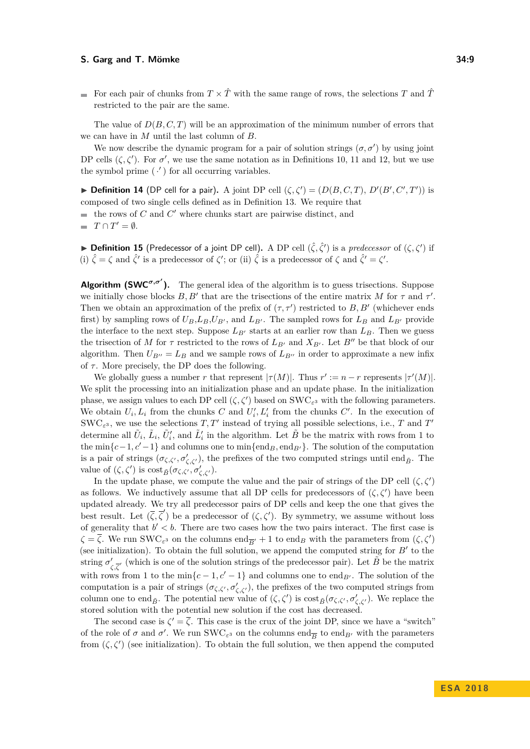For each pair of chunks from  $T \times \hat{T}$  with the same range of rows, the selections *T* and  $\hat{T}$ restricted to the pair are the same.

The value of *D*(*B, C, T*) will be an approximation of the minimum number of errors that we can have in *M* until the last column of *B*.

We now describe the dynamic program for a pair of solution strings  $(\sigma, \sigma')$  by using joint DP cells  $(\zeta, \zeta')$ . For  $\sigma'$ , we use the same notation as in Definitions [10,](#page-7-1) [11](#page-7-2) and [12,](#page-7-3) but we use the symbol prime  $(·')$  for all occurring variables.

**Definition 14** (DP cell for a pair). A joint DP cell  $(\zeta, \zeta') = (D(B, C, T), D'(B', C', T'))$  is composed of two single cells defined as in Definition [13.](#page-7-4) We require that the rows of  $C$  and  $C'$  where chunks start are pairwise distinct, and  $T \cap T' = \emptyset.$  $\overline{\phantom{a}}$ 

**▶ Definition 15** (Predecessor of a joint DP cell). A DP cell  $(\hat{\zeta}, \hat{\zeta}')$  is a *predecessor* of  $(\zeta, \zeta')$  if (i)  $\hat{\zeta} = \zeta$  and  $\hat{\zeta}'$  is a predecessor of  $\zeta'$ ; or (ii)  $\hat{\zeta}$  is a predecessor of  $\zeta$  and  $\hat{\zeta}' = \zeta'$ .

**Algorithm (SWC<sup>** $σ, σ'$ **</sup>).** The general idea of the algorithm is to guess trisections. Suppose we initially chose blocks  $B, B'$  that are the trisections of the entire matrix *M* for  $\tau$  and  $\tau'$ . Then we obtain an approximation of the prefix of  $(\tau, \tau')$  restricted to *B*, *B'* (whichever ends first) by sampling rows of  $U_B$ ,  $L_B$ ,  $U_{B}$ , and  $L_{B}$ . The sampled rows for  $L_B$  and  $L_{B}$  provide the interface to the next step. Suppose  $L_{B'}$  starts at an earlier row than  $L_B$ . Then we guess the trisection of *M* for  $\tau$  restricted to the rows of  $L_{B'}$  and  $X_{B'}$ . Let  $B''$  be that block of our algorithm. Then  $U_{B''} = L_B$  and we sample rows of  $L_{B''}$  in order to approximate a new infix of  $\tau$ . More precisely, the DP does the following.

We globally guess a number *r* that represent  $|\tau(M)|$ . Thus  $r' := n - r$  represents  $|\tau'(M)|$ . We split the processing into an initialization phase and an update phase. In the initialization phase, we assign values to each DP cell  $(\zeta, \zeta')$  based on SWC<sub> $\varepsilon$ </sub> with the following parameters. We obtain  $U_i, L_i$  from the chunks  $C$  and  $U'_i, L'_i$  from the chunks  $C'$ . In the execution of  $\text{SWC}_{\varepsilon^3}$ , we use the selections  $T, T'$  instead of trying all possible selections, i.e., *T* and *T*<sup>*'*</sup> determine all  $\tilde{U}_i$ ,  $\tilde{L}_i$ ,  $\tilde{U}'_i$ , and  $\tilde{L}'_i$  in the algorithm. Let  $\tilde{B}$  be the matrix with rows from 1 to the min ${c-1, c'-1}$  and columns one to min ${\text{end}_{B'}}$ . The solution of the computation is a pair of strings  $(\sigma_{\zeta,\zeta'}, \sigma'_{\zeta,\zeta'})$ , the prefixes of the two computed strings until end<sub> $\tilde{B}$ </sub>. The value of  $(\zeta, \zeta')$  is  $\text{cost}_{\tilde{B}}(\sigma_{\zeta, \zeta'}, \sigma'_{\zeta, \zeta'})$ .

In the update phase, we compute the value and the pair of strings of the DP cell  $(\zeta, \zeta')$ as follows. We inductively assume that all DP cells for predecessors of  $(\zeta, \zeta')$  have been updated already. We try all predecessor pairs of DP cells and keep the one that gives the best result. Let  $(\overline{\zeta}, \overline{\zeta}')$  be a predecessor of  $(\zeta, \zeta')$ . By symmetry, we assume without loss of generality that  $b' < b$ . There are two cases how the two pairs interact. The first case is  $\zeta = \overline{\zeta}$ . We run SWC<sub> $\epsilon$ </sub> on the columns end<sub>*B*</sub><sup> $\prime$ </sup> + 1 to end<sub>*B*</sub> with the parameters from  $(\zeta, \zeta')$ (see initialization). To obtain the full solution, we append the computed string for  $B'$  to the string  $\sigma'$  $\zeta$ <sub>*ζ,ζ*</sub>' (which is one of the solution strings of the predecessor pair). Let  $\tilde{B}$  be the matrix with rows from 1 to the min $\{c-1, c'-1\}$  and columns one to end<sub>*B*<sup>0</sup></sub>. The solution of the computation is a pair of strings  $(\sigma_{\zeta,\zeta'}, \sigma'_{\zeta,\zeta'})$ , the prefixes of the two computed strings from column one to end<sub>*B*</sub>. The potential new value of  $(\zeta, \zeta')$  is  $\cos t_{\tilde{B}}(\sigma_{\zeta, \zeta'}, \sigma'_{\zeta, \zeta'})$ . We replace the stored solution with the potential new solution if the cost has decreased.

The second case is  $\zeta' = \overline{\zeta}$ . This case is the crux of the joint DP, since we have a "switch" of the role of  $\sigma$  and  $\sigma'$ . We run SWC<sub>ε</sub><sup>3</sup></sub> on the columns end<sub>*B*</sub> to end<sub>*B*<sup>*i*</sup> with the parameters</sub> from  $(\zeta, \zeta')$  (see initialization). To obtain the full solution, we then append the computed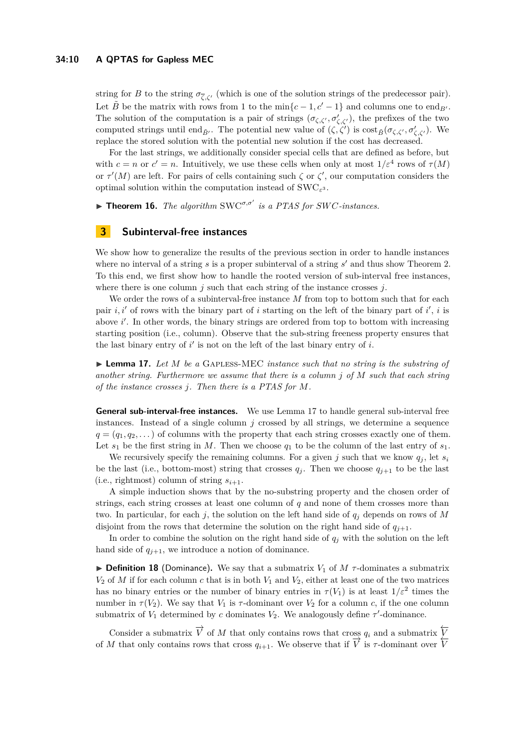string for *B* to the string  $\sigma_{\bar{C},C}$ , (which is one of the solution strings of the predecessor pair). Let  $\tilde{B}$  be the matrix with rows from 1 to the min $\{c-1, c'-1\}$  and columns one to end<sub>*B'*</sub>. The solution of the computation is a pair of strings  $(\sigma_{\zeta,\zeta'}, \sigma'_{\zeta,\zeta'})$ , the prefixes of the two computed strings until end<sub>*B*</sub><sup> $\ell$ </sup>. The potential new value of  $(\zeta, \zeta')$  is cost<sub>*B*</sub> $(\sigma_{\zeta, \zeta'}, \sigma'_{\zeta, \zeta'})$ . We replace the stored solution with the potential new solution if the cost has decreased.

For the last strings, we additionally consider special cells that are defined as before, but with  $c = n$  or  $c' = n$ . Intuitively, we use these cells when only at most  $1/\varepsilon^4$  rows of  $\tau(M)$ or  $\tau'(M)$  are left. For pairs of cells containing such  $\zeta$  or  $\zeta'$ , our computation considers the optimal solution within the computation instead of SWC*<sup>ε</sup>* 3 .

**Theorem 16.** *The algorithm*  $\text{SWC}^{\sigma,\sigma'}$  *is a PTAS for SWC-instances.* 

## <span id="page-9-0"></span>**3 Subinterval-free instances**

We show how to generalize the results of the previous section in order to handle instances where no interval of a string  $s$  is a proper subinterval of a string  $s'$  and thus show Theorem [2.](#page-2-1) To this end, we first show how to handle the rooted version of sub-interval free instances, where there is one column *j* such that each string of the instance crosses *j*.

We order the rows of a subinterval-free instance M from top to bottom such that for each pair  $i, i'$  of rows with the binary part of *i* starting on the left of the binary part of  $i'$ , *i* is above i'. In other words, the binary strings are ordered from top to bottom with increasing starting position (i.e., column). Observe that the sub-string freeness property ensures that the last binary entry of  $i'$  is not on the left of the last binary entry of  $i$ .

<span id="page-9-1"></span>► **Lemma 17.** Let *M* be a GAPLESS-MEC *instance such that no string is the substring of another string. Furthermore we assume that there is a column j of M such that each string of the instance crosses j. Then there is a PTAS for M.*

**General sub-interval-free instances.** We use Lemma [17](#page-9-1) to handle general sub-interval free instances. Instead of a single column *j* crossed by all strings, we determine a sequence  $q = (q_1, q_2, \dots)$  of columns with the property that each string crosses exactly one of them. Let  $s_1$  be the first string in *M*. Then we choose  $q_1$  to be the column of the last entry of  $s_1$ .

We recursively specify the remaining columns. For a given  $j$  such that we know  $q_j$ , let  $s_i$ be the last (i.e., bottom-most) string that crosses  $q_j$ . Then we choose  $q_{j+1}$  to be the last (i.e., rightmost) column of string  $s_{i+1}$ .

A simple induction shows that by the no-substring property and the chosen order of strings, each string crosses at least one column of *q* and none of them crosses more than two. In particular, for each  $j$ , the solution on the left hand side of  $q_j$  depends on rows of  $M$ disjoint from the rows that determine the solution on the right hand side of  $q_{j+1}$ .

In order to combine the solution on the right hand side of  $q_j$  with the solution on the left hand side of  $q_{i+1}$ , we introduce a notion of dominance.

**Definition 18** (Dominance). We say that a submatrix  $V_1$  of  $M$   $\tau$ -dominates a submatrix  $V_2$  of *M* if for each column *c* that is in both  $V_1$  and  $V_2$ , either at least one of the two matrices has no binary entries or the number of binary entries in  $\tau(V_1)$  is at least  $1/\varepsilon^2$  times the number in  $\tau(V_2)$ . We say that  $V_1$  is  $\tau$ -dominant over  $V_2$  for a column *c*, if the one column submatrix of  $V_1$  determined by *c* dominates  $V_2$ . We analogously define  $\tau'$ -dominance.

Consider a submatrix  $\overrightarrow{V}$  of *M* that only contains rows that cross  $q_i$  and a submatrix  $\overleftarrow{V}$ of *M* that only contains rows that cross  $q_{i+1}$ . We observe that if  $\overrightarrow{V}$  is  $\tau$ -dominant over  $\overrightarrow{V}$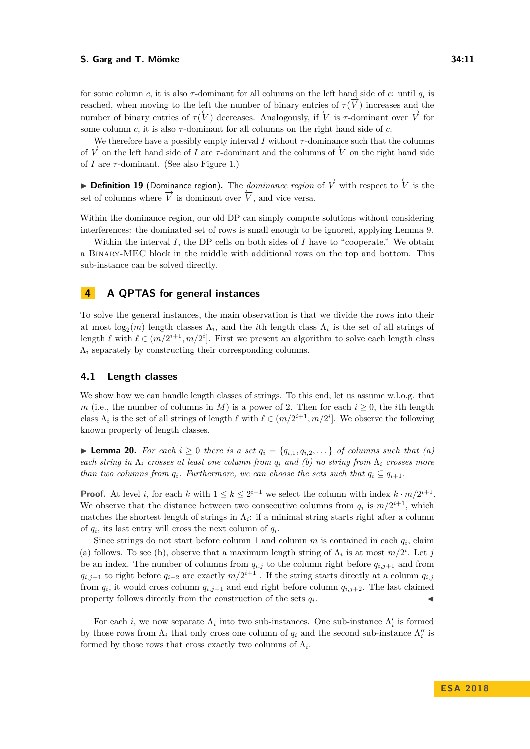for some column *c*, it is also  $\tau$ -dominant for all columns on the left hand side of *c*: until  $q_i$  is reached, when moving to the left the number of binary entries of  $\tau(\vec{V})$  increases and the number of binary entries of  $\tau(V)$  decreases. Analogously, if  $\overline{V}$  is  $\tau$ -dominant over  $\overline{V}$  for some column  $c$ , it is also  $\tau$ -dominant for all columns on the right hand side of  $c$ .

We therefore have a possibly empty interval  $I$  without  $\tau$ -dominance such that the columns of  $\overline{V}$  on the left hand side of *I* are  $\tau$ -dominant and the columns of  $\overline{V}$  on the right hand side of *I* are *τ* -dominant. (See also Figure [1.](#page-2-0))

**I Definition 19** (Dominance region). The *dominance region* of  $\overrightarrow{V}$  with respect to  $\overleftarrow{V}$  is the set of columns where  $\overrightarrow{V}$  is dominant over  $\overleftarrow{V}$ , and vice versa.

Within the dominance region, our old DP can simply compute solutions without considering interferences: the dominated set of rows is small enough to be ignored, applying Lemma [9.](#page-6-3)

Within the interval *I*, the DP cells on both sides of *I* have to "cooperate." We obtain a Binary-MEC block in the middle with additional rows on the top and bottom. This sub-instance can be solved directly.

# **4 A QPTAS for general instances**

To solve the general instances, the main observation is that we divide the rows into their at most  $log_2(m)$  length classes  $\Lambda_i$ , and the *i*th length class  $\Lambda_i$  is the set of all strings of length  $\ell$  with  $\ell \in (m/2^{i+1}, m/2^i]$ . First we present an algorithm to solve each length class  $\Lambda_i$  separately by constructing their corresponding columns.

## <span id="page-10-0"></span>**4.1 Length classes**

We show how we can handle length classes of strings. To this end, let us assume w.l.o.g. that *m* (i.e., the number of columns in *M*) is a power of 2. Then for each  $i \geq 0$ , the *i*th length class  $\Lambda_i$  is the set of all strings of length  $\ell$  with  $\ell \in (m/2^{i+1}, m/2^i]$ . We observe the following known property of length classes.

▶ **Lemma 20.** *For each*  $i \ge 0$  *there is a set*  $q_i = \{q_{i,1}, q_{i,2}, \ldots\}$  *of columns such that*  $(a)$ *each string in*  $\Lambda_i$  *crosses at least one column from*  $q_i$  *and (b) no string from*  $\Lambda_i$  *crosses more than two columns from*  $q_i$ *. Furthermore, we can choose the sets such that*  $q_i \subseteq q_{i+1}$ *.* 

**Proof.** At level *i*, for each *k* with  $1 \leq k \leq 2^{i+1}$  we select the column with index  $k \cdot m/2^{i+1}$ . We observe that the distance between two consecutive columns from  $q_i$  is  $m/2^{i+1}$ , which matches the shortest length of strings in  $\Lambda_i$ : if a minimal string starts right after a column of  $q_i$ , its last entry will cross the next column of  $q_i$ .

Since strings do not start before column 1 and column  $m$  is contained in each  $q_i$ , claim (a) follows. To see (b), observe that a maximum length string of  $\Lambda_i$  is at most  $m/2^i$ . Let *j* be an index. The number of columns from  $q_{i,j}$  to the column right before  $q_{i,j+1}$  and from  $q_{i,j+1}$  to right before  $q_{i+2}$  are exactly  $m/2^{i+1}$ . If the string starts directly at a column  $q_{i,j}$ from  $q_i$ , it would cross column  $q_{i,j+1}$  and end right before column  $q_{i,j+2}$ . The last claimed property follows directly from the construction of the sets  $q_i$ . . The set of the set of  $\mathcal{A}$ 

For each *i*, we now separate  $\Lambda_i$  into two sub-instances. One sub-instance  $\Lambda'_i$  is formed by those rows from  $\Lambda_i$  that only cross one column of  $q_i$  and the second sub-instance  $\Lambda''_i$  is formed by those rows that cross exactly two columns of  $\Lambda_i$ .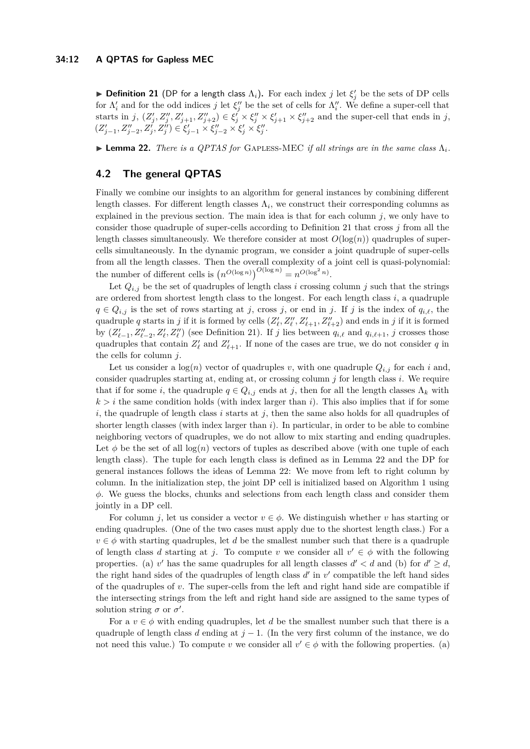## **34:12 A QPTAS for Gapless MEC**

<span id="page-11-1"></span>**Definition 21** (DP for a length class  $\Lambda_i$ ). For each index *j* let  $\xi'_j$  be the sets of DP cells for  $\Lambda'_i$  and for the odd indices *j* let  $\xi''_j$  be the set of cells for  $\Lambda''_i$ . We define a super-cell that starts in j,  $(Z'_j, Z''_j, Z'_{j+1}, Z''_{j+2}) \in \xi'_j \times \xi''_j \times \xi'_{j+1} \times \xi''_{j+2}$  and the super-cell that ends in j,  $(Z'_{j-1}, Z''_{j-2}, Z'_j, Z''_j) \in \xi'_{j-1} \times \xi''_{j-2} \times \xi'_{j} \times \xi''_j.$ 

<span id="page-11-2"></span>I **Lemma 22.** *There is a QPTAS for* Gapless-MEC *if all strings are in the same class* Λ*i.*

# <span id="page-11-0"></span>**4.2 The general QPTAS**

Finally we combine our insights to an algorithm for general instances by combining different length classes. For different length classes  $\Lambda_i$ , we construct their corresponding columns as explained in the previous section. The main idea is that for each column  $j$ , we only have to consider those quadruple of super-cells according to Definition [21](#page-11-1) that cross *j* from all the length classes simultaneously. We therefore consider at most  $O(\log(n))$  quadruples of supercells simultaneously. In the dynamic program, we consider a joint quadruple of super-cells from all the length classes. Then the overall complexity of a joint cell is quasi-polynomial: the number of different cells is  $(n^{O(\log n)})^{O(\log n)} = n^{O(\log^2 n)}$ .

Let  $Q_{i,j}$  be the set of quadruples of length class *i* crossing column *j* such that the strings are ordered from shortest length class to the longest. For each length class *i*, a quadruple  $q \in Q_{i,j}$  is the set of rows starting at *j*, cross *j*, or end in *j*. If *j* is the index of  $q_{i,\ell}$ , the quadruple *q* starts in *j* if it is formed by cells  $(Z'_{\ell}, Z''_{\ell}, Z'_{\ell+1}, Z''_{\ell+2})$  and ends in *j* if it is formed by  $(Z'_{\ell-1}, Z''_{\ell-2}, Z'_{\ell}, Z''_{\ell})$  (see Definition [21\)](#page-11-1). If *j* lies between  $q_{i,\ell}$  and  $q_{i,\ell+1}$ , *j* crosses those quadruples that contain  $Z'_{\ell}$  and  $Z'_{\ell+1}$ . If none of the cases are true, we do not consider *q* in the cells for column *j*.

Let us consider a  $log(n)$  vector of quadruples *v*, with one quadruple  $Q_{i,j}$  for each *i* and, consider quadruples starting at, ending at, or crossing column *j* for length class *i*. We require that if for some *i*, the quadruple  $q \in Q_{i,j}$  ends at *j*, then for all the length classes  $\Lambda_k$  with  $k > i$  the same condition holds (with index larger than *i*). This also implies that if for some  $i$ , the quadruple of length class  $i$  starts at  $j$ , then the same also holds for all quadruples of shorter length classes (with index larger than *i*). In particular, in order to be able to combine neighboring vectors of quadruples, we do not allow to mix starting and ending quadruples. Let  $\phi$  be the set of all  $log(n)$  vectors of tuples as described above (with one tuple of each length class). The tuple for each length class is defined as in Lemma [22](#page-11-2) and the DP for general instances follows the ideas of Lemma [22:](#page-11-2) We move from left to right column by column. In the initialization step, the joint DP cell is initialized based on Algorithm [1](#page-5-3) using *φ*. We guess the blocks, chunks and selections from each length class and consider them jointly in a DP cell.

For column *j*, let us consider a vector  $v \in \phi$ . We distinguish whether *v* has starting or ending quadruples. (One of the two cases must apply due to the shortest length class.) For a  $v \in \phi$  with starting quadruples, let *d* be the smallest number such that there is a quadruple of length class *d* starting at *j*. To compute *v* we consider all  $v' \in \phi$  with the following properties. (a) *v*' has the same quadruples for all length classes  $d' < d$  and (b) for  $d' \geq d$ , the right hand sides of the quadruples of length class  $d'$  in  $v'$  compatible the left hand sides of the quadruples of *v*. The super-cells from the left and right hand side are compatible if the intersecting strings from the left and right hand side are assigned to the same types of solution string  $\sigma$  or  $\sigma'$ .

For a  $v \in \phi$  with ending quadruples, let *d* be the smallest number such that there is a quadruple of length class *d* ending at  $j - 1$ . (In the very first column of the instance, we do not need this value.) To compute *v* we consider all  $v' \in \phi$  with the following properties. (a)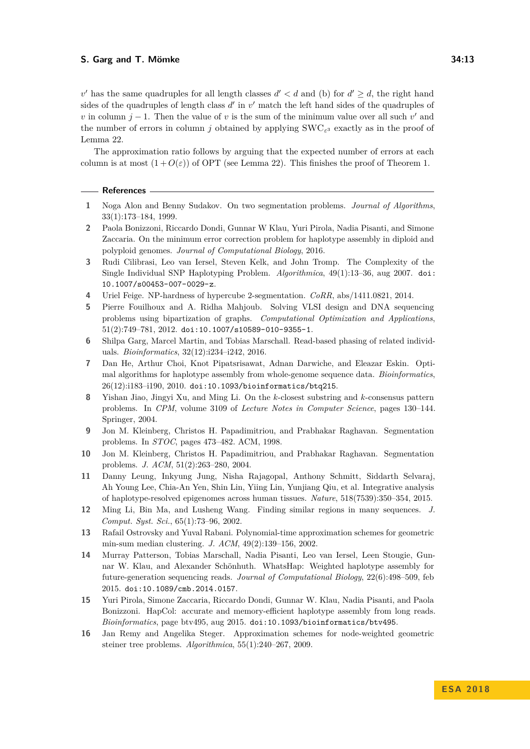$v'$  has the same quadruples for all length classes  $d' < d$  and (b) for  $d' \geq d$ , the right hand sides of the quadruples of length class  $d'$  in  $v'$  match the left hand sides of the quadruples of *v* in column  $j - 1$ . Then the value of *v* is the sum of the minimum value over all such  $v'$  and the number of errors in column *j* obtained by applying  $\text{SWC}_{\varepsilon^3}$  exactly as in the proof of Lemma [22.](#page-11-2)

The approximation ratio follows by arguing that the expected number of errors at each column is at most  $(1+O(\varepsilon))$  of OPT (see Lemma [22\)](#page-11-2). This finishes the proof of Theorem [1.](#page-1-1)

#### **References**

- <span id="page-12-10"></span>**1** Noga Alon and Benny Sudakov. On two segmentation problems. *Journal of Algorithms*, 33(1):173–184, 1999.
- <span id="page-12-8"></span>**2** Paola Bonizzoni, Riccardo Dondi, Gunnar W Klau, Yuri Pirola, Nadia Pisanti, and Simone Zaccaria. On the minimum error correction problem for haplotype assembly in diploid and polyploid genomes. *Journal of Computational Biology*, 2016.
- <span id="page-12-7"></span>**3** Rudi Cilibrasi, Leo van Iersel, Steven Kelk, and John Tromp. The Complexity of the Single Individual SNP Haplotyping Problem. *Algorithmica*, 49(1):13–36, aug 2007. [doi:](http://dx.doi.org/10.1007/s00453-007-0029-z) [10.1007/s00453-007-0029-z](http://dx.doi.org/10.1007/s00453-007-0029-z).
- <span id="page-12-3"></span>**4** Uriel Feige. NP-hardness of hypercube 2-segmentation. *CoRR*, abs/1411.0821, 2014.
- <span id="page-12-15"></span>**5** Pierre Fouilhoux and A. Ridha Mahjoub. Solving VLSI design and DNA sequencing problems using bipartization of graphs. *Computational Optimization and Applications*, 51(2):749–781, 2012. [doi:10.1007/s10589-010-9355-1](http://dx.doi.org/10.1007/s10589-010-9355-1).
- <span id="page-12-13"></span>**6** Shilpa Garg, Marcel Martin, and Tobias Marschall. Read-based phasing of related individuals. *Bioinformatics*, 32(12):i234–i242, 2016.
- <span id="page-12-11"></span>**7** Dan He, Arthur Choi, Knot Pipatsrisawat, Adnan Darwiche, and Eleazar Eskin. Optimal algorithms for haplotype assembly from whole-genome sequence data. *Bioinformatics*, 26(12):i183–i190, 2010. [doi:10.1093/bioinformatics/btq215](http://dx.doi.org/10.1093/bioinformatics/btq215).
- <span id="page-12-6"></span>**8** Yishan Jiao, Jingyi Xu, and Ming Li. On the *k*-closest substring and *k*-consensus pattern problems. In *CPM*, volume 3109 of *Lecture Notes in Computer Science*, pages 130–144. Springer, 2004.
- <span id="page-12-1"></span>**9** Jon M. Kleinberg, Christos H. Papadimitriou, and Prabhakar Raghavan. Segmentation problems. In *STOC*, pages 473–482. ACM, 1998.
- <span id="page-12-2"></span>**10** Jon M. Kleinberg, Christos H. Papadimitriou, and Prabhakar Raghavan. Segmentation problems. *J. ACM*, 51(2):263–280, 2004.
- <span id="page-12-0"></span>**11** Danny Leung, Inkyung Jung, Nisha Rajagopal, Anthony Schmitt, Siddarth Selvaraj, Ah Young Lee, Chia-An Yen, Shin Lin, Yiing Lin, Yunjiang Qiu, et al. Integrative analysis of haplotype-resolved epigenomes across human tissues. *Nature*, 518(7539):350–354, 2015.
- <span id="page-12-5"></span>**12** Ming Li, Bin Ma, and Lusheng Wang. Finding similar regions in many sequences. *J. Comput. Syst. Sci.*, 65(1):73–96, 2002.
- <span id="page-12-4"></span>**13** Rafail Ostrovsky and Yuval Rabani. Polynomial-time approximation schemes for geometric min-sum median clustering. *J. ACM*, 49(2):139–156, 2002.
- <span id="page-12-12"></span>**14** Murray Patterson, Tobias Marschall, Nadia Pisanti, Leo van Iersel, Leen Stougie, Gunnar W. Klau, and Alexander Schönhuth. WhatsHap: Weighted haplotype assembly for future-generation sequencing reads. *Journal of Computational Biology*, 22(6):498–509, feb 2015. [doi:10.1089/cmb.2014.0157](http://dx.doi.org/10.1089/cmb.2014.0157).
- <span id="page-12-14"></span>**15** Yuri Pirola, Simone Zaccaria, Riccardo Dondi, Gunnar W. Klau, Nadia Pisanti, and Paola Bonizzoni. HapCol: accurate and memory-efficient haplotype assembly from long reads. *Bioinformatics*, page btv495, aug 2015. [doi:10.1093/bioinformatics/btv495](http://dx.doi.org/10.1093/bioinformatics/btv495).
- <span id="page-12-9"></span>**16** Jan Remy and Angelika Steger. Approximation schemes for node-weighted geometric steiner tree problems. *Algorithmica*, 55(1):240–267, 2009.